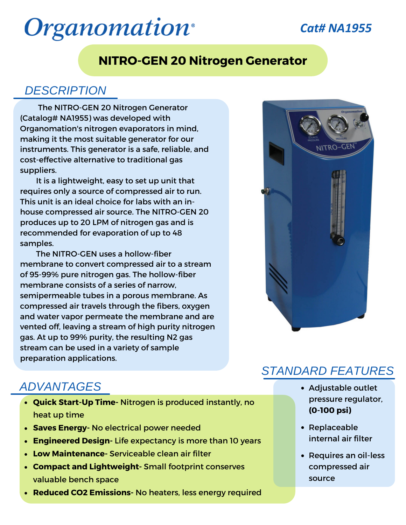# **Organomation**<sup>®</sup>

# *Cat# NA1955*

### **NITRO-GEN 20 Nitrogen Generator**

#### *DESCRIPTION*

The NITRO-GEN 20 Nitrogen Generator (Catalog# NA1955) was developed with Organomation's nitrogen evaporators in mind, making it the most suitable generator for our instruments. This generator is a safe, reliable, and cost-effective alternative to traditional gas suppliers.

It is a lightweight, easy to set up unit that requires only a source of compressed air to run. This unit is an ideal choice for labs with an inhouse compressed air source. The NITRO-GEN 20 produces up to 20 LPM of nitrogen gas and is recommended for evaporation of up to 48 samples.

The NITRO-GEN uses a hollow-fiber membrane to convert compressed air to a stream of 95-99% pure nitrogen gas. The hollow-fiber membrane consists of a series of narrow, semipermeable tubes in a porous membrane. As compressed air travels through the fibers, oxygen and water vapor permeate the membrane and are vented off, leaving a stream of high purity nitrogen gas. At up to 99% purity, the resulting N2 gas stream can be used in a variety of sample preparation applications.



# *ADVANTAGES*

- **Quick Start-Up Time-** Nitrogen is produced instantly, no heat up time
- **Saves Energy-** No electrical power needed
- **Engineered Design-** Life expectancy is more than 10 years
- **Low Maintenance-** Serviceable clean air filter
- **Compact and Lightweight-** Small footprint conserves valuable bench space
- **Reduced CO2 Emissions-** No heaters, less energy required

### *STANDARD FEATURES*

- Adjustable outlet pressure regulator, **(0-100 psi)**
- Replaceable internal air filter
- Requires an oil-less compressed air source